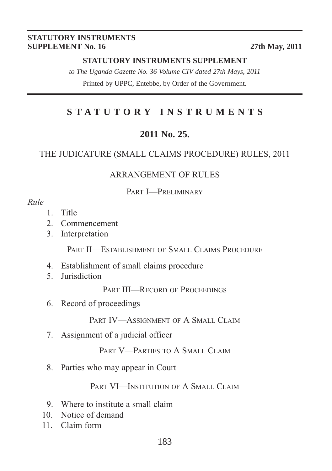#### **STATUTORY INSTRUMENTS SUPPLEMENT No. 16** 27th May, 2011

#### **STATUTORY INSTRUMENTS SUPPLEMENT**

*to The Uganda Gazette No. 36 Volume CIV dated 27th Mays, 2011* Printed by UPPC, Entebbe, by Order of the Government.

# **STATUTORY INSTRUMENTS**

## **2011 No. 25.**

#### THE JUDICATURE (SMALL CLAIMS PROCEDURE) RULES, 2011

#### ARRANGEMENT OF RULES

PART I—PRELIMINARY

#### *Rule*

- 1. Title
- 2. Commencement
- 3. Interpretation

PART II—ESTABLISHMENT OF SMALL CLAIMS PROCEDURE

- 4. Establishment of small claims procedure
- 5. Jurisdiction

PART III—RECORD OF PROCEEDINGS

6. Record of proceedings

PART IV—ASSIGNMENT OF A SMALL CLAIM

7. Assignment of a judicial officer

PART V-PARTIES TO A SMALL CLAIM

8. Parties who may appear in Court

PART VI—INSTITUTION OF A SMALL CLAIM

- 9. Where to institute a small claim
- 10. Notice of demand
- 11. Claim form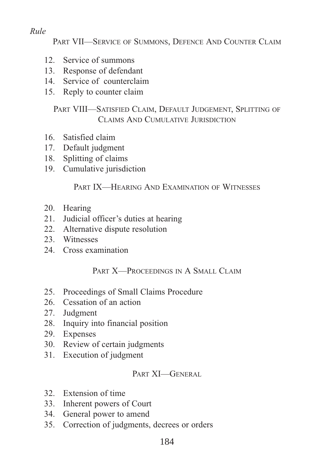## *Rule*

PART VII—SERVICE OF SUMMONS, DEFENCE AND COUNTER CLAIM

- 12. Service of summons
- 13. Response of defendant
- 14. Service of counterclaim
- 15. Reply to counter claim

## PART VIII—SATISFIED CLAIM, DEFAULT JUDGEMENT, SPLITTING OF CLAIMS AND CUMULATIVE JURISDICTION

- 16. Satisfied claim
- 17. Default judgment
- 18. Splitting of claims
- 19. Cumulative jurisdiction

## PART IX—HEARING AND EXAMINATION OF WITNESSES

- 20. Hearing
- 21. Judicial officer's duties at hearing
- 22. Alternative dispute resolution
- 23. Witnesses
- 24 Cross examination

## PART X-PROCEEDINGS IN A SMALL CLAIM

- 25. Proceedings of Small Claims Procedure
- 26. Cessation of an action
- 27. Judgment
- 28. Inquiry into financial position
- 29. Expenses
- 30. Review of certain judgments
- 31. Execution of judgment

# PART **XI**-GENERAL

- 32. Extension of time
- 33. Inherent powers of Court
- 34. General power to amend
- 35. Correction of judgments, decrees or orders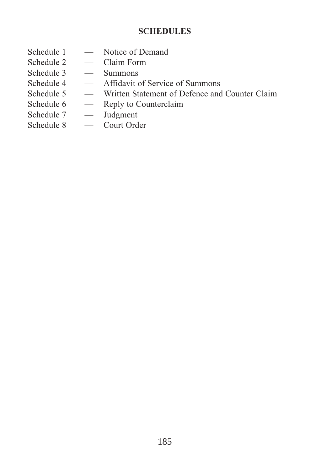- Schedule 1 Notice of Demand<br>Schedule 2 Claim Form
- Schedule 2 Claim Form<br>Schedule 3 Summons
- Schedule 3 Summons
- Schedule 4 Affidavit of Service of Summons
- Schedule 5 Written Statement of Defence and Counter Claim
- Schedule 6 Reply to Counterclaim<br>Schedule 7 Judgment
- Schedule 7<br>Schedule 8
- $-$  Court Order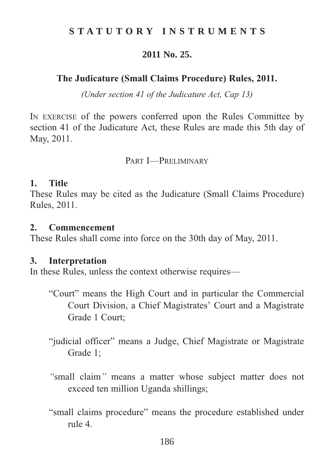# **STATUTORY INSTRUMENTS**

## **2011 No. 25.**

#### **The Judicature (Small Claims Procedure) Rules, 2011.**

*(Under section 41 of the Judicature Act, Cap 13)*

IN EXERCISE of the powers conferred upon the Rules Committee by section 41 of the Judicature Act, these Rules are made this 5th day of May, 2011.

PART I—PRELIMINARY

#### **1. Title**

These Rules may be cited as the Judicature (Small Claims Procedure) Rules, 2011.

#### **2. Commencement**

These Rules shall come into force on the 30th day of May, 2011.

#### **3. Interpretation**

In these Rules, unless the context otherwise requires—

"Court" means the High Court and in particular the Commercial Court Division, a Chief Magistrates' Court and a Magistrate Grade 1 Court;

"judicial officer" means a Judge, Chief Magistrate or Magistrate Grade 1;

- *"*small claim*"* means a matter whose subject matter does not exceed ten million Uganda shillings;
- "small claims procedure" means the procedure established under rule 4.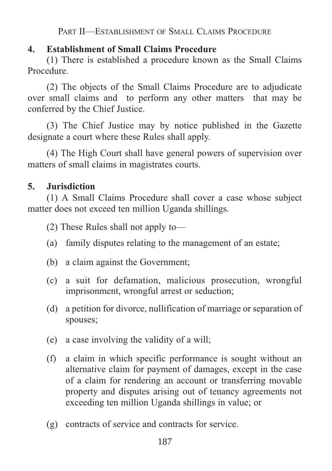PART II—ESTABLISHMENT OF SMALL CLAIMS PROCEDURE

# **4. Establishment of Small Claims Procedure**

(1) There is established a procedure known as the Small Claims Procedure.

(2) The objects of the Small Claims Procedure are to adjudicate over small claims and to perform any other matters that may be conferred by the Chief Justice.

(3) The Chief Justice may by notice published in the Gazette designate a court where these Rules shall apply.

(4) The High Court shall have general powers of supervision over matters of small claims in magistrates courts.

# **5. Jurisdiction**

(1) A Small Claims Procedure shall cover a case whose subject matter does not exceed ten million Uganda shillings.

(2) These Rules shall not apply to—

- (a) family disputes relating to the management of an estate;
- (b) a claim against the Government;
- (c) a suit for defamation, malicious prosecution, wrongful imprisonment, wrongful arrest or seduction;
- (d) a petition for divorce, nullification of marriage or separation of spouses;
- (e) a case involving the validity of a will;
- (f) a claim in which specific performance is sought without an alternative claim for payment of damages, except in the case of a claim for rendering an account or transferring movable property and disputes arising out of tenancy agreements not exceeding ten million Uganda shillings in value; or
- (g) contracts of service and contracts for service.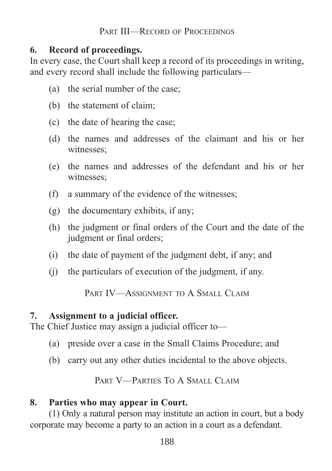# PART III—RECORD OF PROCEEDINGS

## **6. Record of proceedings.**

In every case, the Court shall keep a record of its proceedings in writing, and every record shall include the following particulars—

- (a) the serial number of the case;
- (b) the statement of claim;
- (c) the date of hearing the case;
- (d) the names and addresses of the claimant and his or her witnesses;
- (e) the names and addresses of the defendant and his or her witnesses;
- (f) a summary of the evidence of the witnesses;
- (g) the documentary exhibits, if any;
- (h) the judgment or final orders of the Court and the date of the judgment or final orders;
- (i) the date of payment of the judgment debt, if any; and
- (j) the particulars of execution of the judgment, if any.

PART IV—ASSIGNMENT TO A SMALL CLAIM

## **7. Assignment to a judicial officer***.*

The Chief Justice may assign a judicial officer to—

- (a) preside over a case in the Small Claims Procedure; and
- (b) carry out any other duties incidental to the above objects.

PART V—PARTIES TO A SMALL CLAIM

## **8. Parties who may appear in Court.**

(1) Only a natural person may institute an action in court, but a body corporate may become a party to an action in a court as a defendant.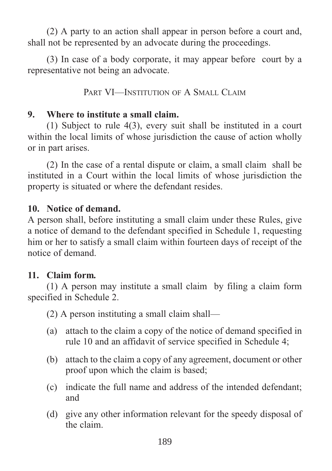(2) A party to an action shall appear in person before a court and, shall not be represented by an advocate during the proceedings.

(3) In case of a body corporate, it may appear before court by a representative not being an advocate.

PART VI—INSTITUTION OF A SMALL CLAIM

# **9. Where to institute a small claim.**

(1) Subject to rule 4(3), every suit shall be instituted in a court within the local limits of whose jurisdiction the cause of action wholly or in part arises.

(2) In the case of a rental dispute or claim, a small claim shall be instituted in a Court within the local limits of whose jurisdiction the property is situated or where the defendant resides.

# **10. Notice of demand.**

A person shall, before instituting a small claim under these Rules, give a notice of demand to the defendant specified in Schedule 1, requesting him or her to satisfy a small claim within fourteen days of receipt of the notice of demand.

# **11. Claim form***.*

(1) A person may institute a small claim by filing a claim form specified in Schedule 2.

(2) A person instituting a small claim shall—

- (a) attach to the claim a copy of the notice of demand specified in rule 10 and an affidavit of service specified in Schedule 4;
- (b) attach to the claim a copy of any agreement, document or other proof upon which the claim is based;
- (c) indicate the full name and address of the intended defendant; and
- (d) give any other information relevant for the speedy disposal of the claim.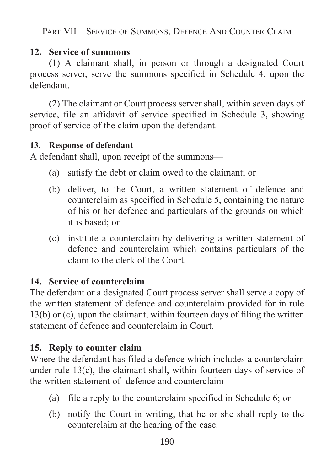PART VII—SERVICE OF SUMMONS, DEFENCE AND COUNTER CLAIM

# **12. Service of summons**

(1) A claimant shall, in person or through a designated Court process server, serve the summons specified in Schedule 4, upon the defendant.

(2) The claimant or Court process server shall, within seven days of service, file an affidavit of service specified in Schedule 3, showing proof of service of the claim upon the defendant.

# **13. Response of defendant**

A defendant shall, upon receipt of the summons—

- (a) satisfy the debt or claim owed to the claimant; or
- (b) deliver, to the Court, a written statement of defence and counterclaim as specified in Schedule 5, containing the nature of his or her defence and particulars of the grounds on which it is based; or
- (c) institute a counterclaim by delivering a written statement of defence and counterclaim which contains particulars of the claim to the clerk of the Court.

# **14. Service of counterclaim**

The defendant or a designated Court process server shall serve a copy of the written statement of defence and counterclaim provided for in rule 13(b) or (c), upon the claimant, within fourteen days of filing the written statement of defence and counterclaim in Court.

# **15. Reply to counter claim**

Where the defendant has filed a defence which includes a counterclaim under rule 13(c), the claimant shall, within fourteen days of service of the written statement of defence and counterclaim—

- (a) file a reply to the counterclaim specified in Schedule 6; or
- (b) notify the Court in writing, that he or she shall reply to the counterclaim at the hearing of the case.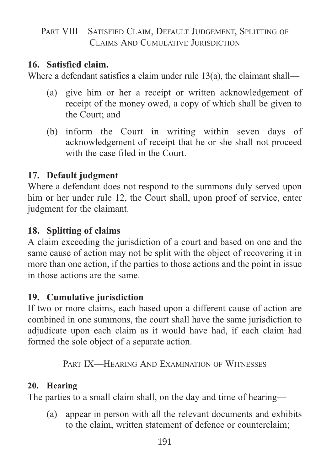# PART VIII—SATISFIED CLAIM, DEFAULT JUDGEMENT, SPLITTING OF CLAIMS AND CUMULATIVE JURISDICTION

# **16. Satisfied claim.**

Where a defendant satisfies a claim under rule 13(a), the claimant shall—

- (a) give him or her a receipt or written acknowledgement of receipt of the money owed, a copy of which shall be given to the Court; and
- (b) inform the Court in writing within seven days of acknowledgement of receipt that he or she shall not proceed with the case filed in the Court.

# **17. Default judgment**

Where a defendant does not respond to the summons duly served upon him or her under rule 12, the Court shall, upon proof of service, enter judgment for the claimant.

# **18. Splitting of claims**

A claim exceeding the jurisdiction of a court and based on one and the same cause of action may not be split with the object of recovering it in more than one action, if the parties to those actions and the point in issue in those actions are the same.

# **19. Cumulative jurisdiction**

If two or more claims, each based upon a different cause of action are combined in one summons, the court shall have the same jurisdiction to adjudicate upon each claim as it would have had, if each claim had formed the sole object of a separate action.

PART IX—HEARING AND EXAMINATION OF WITNESSES

# **20. Hearing**

The parties to a small claim shall, on the day and time of hearing—

(a) appear in person with all the relevant documents and exhibits to the claim, written statement of defence or counterclaim;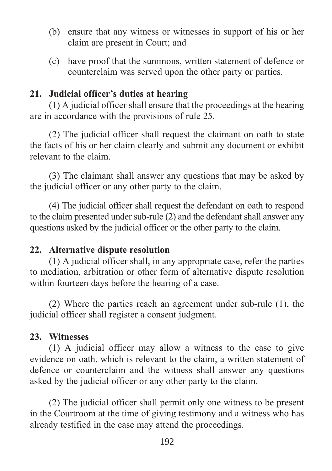- (b) ensure that any witness or witnesses in support of his or her claim are present in Court; and
- (c) have proof that the summons, written statement of defence or counterclaim was served upon the other party or parties.

# **21. Judicial officer's duties at hearing**

(1) A judicial officer shall ensure that the proceedings at the hearing are in accordance with the provisions of rule 25.

(2) The judicial officer shall request the claimant on oath to state the facts of his or her claim clearly and submit any document or exhibit relevant to the claim.

(3) The claimant shall answer any questions that may be asked by the judicial officer or any other party to the claim.

(4) The judicial officer shall request the defendant on oath to respond to the claim presented under sub-rule (2) and the defendant shall answer any questions asked by the judicial officer or the other party to the claim.

# **22. Alternative dispute resolution**

(1) A judicial officer shall, in any appropriate case, refer the parties to mediation, arbitration or other form of alternative dispute resolution within fourteen days before the hearing of a case.

(2) Where the parties reach an agreement under sub-rule (1), the judicial officer shall register a consent judgment.

# **23. Witnesses**

(1) A judicial officer may allow a witness to the case to give evidence on oath, which is relevant to the claim, a written statement of defence or counterclaim and the witness shall answer any questions asked by the judicial officer or any other party to the claim.

(2) The judicial officer shall permit only one witness to be present in the Courtroom at the time of giving testimony and a witness who has already testified in the case may attend the proceedings.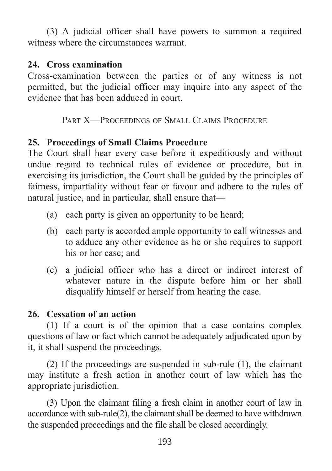(3) A judicial officer shall have powers to summon a required witness where the circumstances warrant.

# **24. Cross examination**

Cross-examination between the parties or of any witness is not permitted, but the judicial officer may inquire into any aspect of the evidence that has been adduced in court.

PART X—PROCEEDINGS OF SMALL CLAIMS PROCEDURE

# **25. Proceedings of Small Claims Procedure**

The Court shall hear every case before it expeditiously and without undue regard to technical rules of evidence or procedure, but in exercising its jurisdiction, the Court shall be guided by the principles of fairness, impartiality without fear or favour and adhere to the rules of natural justice, and in particular, shall ensure that—

- (a) each party is given an opportunity to be heard;
- (b) each party is accorded ample opportunity to call witnesses and to adduce any other evidence as he or she requires to support his or her case; and
- (c) a judicial officer who has a direct or indirect interest of whatever nature in the dispute before him or her shall disqualify himself or herself from hearing the case.

# **26. Cessation of an action**

(1) If a court is of the opinion that a case contains complex questions of law or fact which cannot be adequately adjudicated upon by it, it shall suspend the proceedings.

(2) If the proceedings are suspended in sub-rule (1), the claimant may institute a fresh action in another court of law which has the appropriate jurisdiction.

(3) Upon the claimant filing a fresh claim in another court of law in accordance with sub-rule(2), the claimant shall be deemed to have withdrawn the suspended proceedings and the file shall be closed accordingly.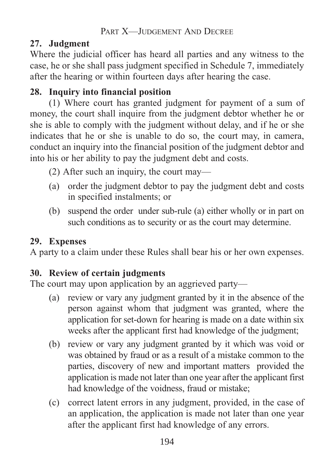# **27. Judgment**

Where the judicial officer has heard all parties and any witness to the case, he or she shall pass judgment specified in Schedule 7, immediately after the hearing or within fourteen days after hearing the case.

# **28. Inquiry into financial position**

(1) Where court has granted judgment for payment of a sum of money, the court shall inquire from the judgment debtor whether he or she is able to comply with the judgment without delay, and if he or she indicates that he or she is unable to do so, the court may, in camera, conduct an inquiry into the financial position of the judgment debtor and into his or her ability to pay the judgment debt and costs.

- (2) After such an inquiry, the court may—
- (a) order the judgment debtor to pay the judgment debt and costs in specified instalments; or
- (b) suspend the order under sub-rule (a) either wholly or in part on such conditions as to security or as the court may determine.

# **29. Expenses**

A party to a claim under these Rules shall bear his or her own expenses.

# **30. Review of certain judgments**

The court may upon application by an aggrieved party—

- (a) review or vary any judgment granted by it in the absence of the person against whom that judgment was granted, where the application for set-down for hearing is made on a date within six weeks after the applicant first had knowledge of the judgment:
- (b) review or vary any judgment granted by it which was void or was obtained by fraud or as a result of a mistake common to the parties, discovery of new and important matters provided the application is made not later than one year after the applicant first had knowledge of the voidness, fraud or mistake;
- (c) correct latent errors in any judgment, provided, in the case of an application, the application is made not later than one year after the applicant first had knowledge of any errors.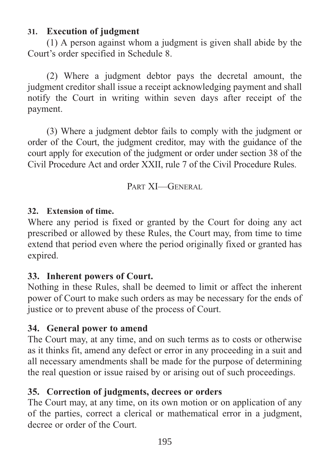# **31. Execution of judgment**

(1) A person against whom a judgment is given shall abide by the Court's order specified in Schedule 8.

(2) Where a judgment debtor pays the decretal amount, the judgment creditor shall issue a receipt acknowledging payment and shall notify the Court in writing within seven days after receipt of the payment.

(3) Where a judgment debtor fails to comply with the judgment or order of the Court, the judgment creditor, may with the guidance of the court apply for execution of the judgment or order under section 38 of the Civil Procedure Act and order XXII, rule 7 of the Civil Procedure Rules.

PART **XI**-GENERAL

# **32. Extension of time.**

Where any period is fixed or granted by the Court for doing any act prescribed or allowed by these Rules, the Court may, from time to time extend that period even where the period originally fixed or granted has expired.

# **33. Inherent powers of Court.**

Nothing in these Rules, shall be deemed to limit or affect the inherent power of Court to make such orders as may be necessary for the ends of justice or to prevent abuse of the process of Court.

# **34. General power to amend**

The Court may, at any time, and on such terms as to costs or otherwise as it thinks fit, amend any defect or error in any proceeding in a suit and all necessary amendments shall be made for the purpose of determining the real question or issue raised by or arising out of such proceedings.

# **35. Correction of judgments, decrees or orders**

The Court may, at any time, on its own motion or on application of any of the parties, correct a clerical or mathematical error in a judgment, decree or order of the Court.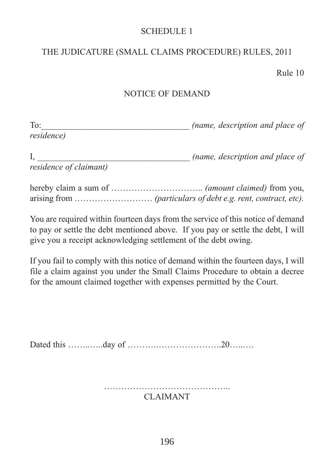## THE JUDICATURE (SMALL CLAIMS PROCEDURE) RULES, 2011

Rule 10

#### NOTICE OF DEMAND

|                    |  | (name, description and place of |  |
|--------------------|--|---------------------------------|--|
| <i>residence</i> ) |  |                                 |  |

|                        | (name, description and place of |  |
|------------------------|---------------------------------|--|
| residence of claimant) |                                 |  |

hereby claim a sum of ………………………….. *(amount claimed)* from you, arising from ……………………… *(particulars of debt e.g. rent, contract, etc).*

You are required within fourteen days from the service of this notice of demand to pay or settle the debt mentioned above. If you pay or settle the debt, I will give you a receipt acknowledging settlement of the debt owing.

If you fail to comply with this notice of demand within the fourteen days, I will file a claim against you under the Small Claims Procedure to obtain a decree for the amount claimed together with expenses permitted by the Court.

Dated this ……..…..day of ……….…………………..20…..….

…………………………………….. CLAIMANT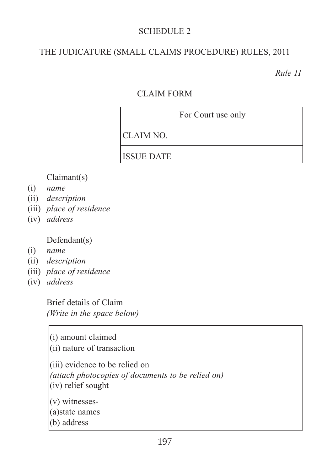# THE JUDICATURE (SMALL CLAIMS PROCEDURE) RULES, 2011

*Rule 11*

# CLAIM FORM

|                   | For Court use only |
|-------------------|--------------------|
| CLAIM NO.         |                    |
| <b>ISSUE DATE</b> |                    |

Claimant(s)

- (i) *name*
- (ii) *description*
- (iii) *place of residence*
- (iv) *address*

Defendant(s)

- (i) *name*
- (ii) *description*
- (iii) *place of residence*
- (iv) *address*

Brief details of Claim *(Write in the space below)*

(i) amount claimed

(ii) nature of transaction (iii) evidence to be relied on *(attach photocopies of documents to be relied on)* (iv) relief sought  $(v)$  witnesses-(a)state names

(b) address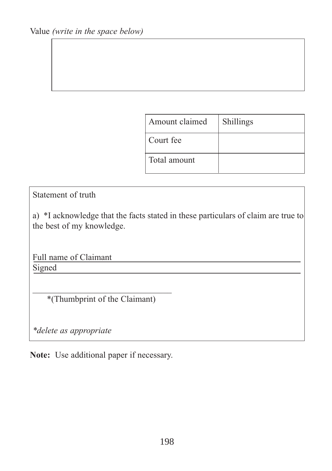| Amount claimed | Shillings |
|----------------|-----------|
| Court fee      |           |
| Total amount   |           |

Statement of truth

a) \*I acknowledge that the facts stated in these particulars of claim are true to the best of my knowledge.

Full name of Claimant Signed

\_\_\_\_\_\_\_\_\_\_\_\_\_\_\_\_\_\_\_\_\_\_\_\_\_\_\_\_\_\_\_\_ \*(Thumbprint of the Claimant)

*\*delete as appropriate*

**Note:** Use additional paper if necessary.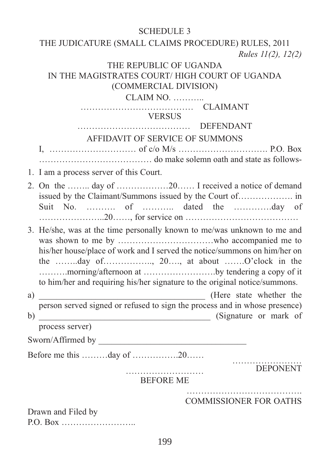THE JUDICATURE (SMALL CLAIMS PROCEDURE) RULES, 2011 *Rules 11(2), 12(2)*

# THE REPUBLIC OF UGANDA IN THE MAGISTRATES COURT/ HIGH COURT OF UGANDA (COMMERCIAL DIVISION)

#### CLAIM NO. ………..

………………………………… CLAIMANT

## **VERSUS**

# ………………………………… DEFENDANT

#### AFFIDAVIT OF SERVICE OF SUMMONS

I, ………………………… of c/o M/s …………………………. P.O. Box ………………………………… do make solemn oath and state as follows-

1. I am a process server of this Court.

- 2. On the …….. day of ………………20…… I received a notice of demand issued by the Claimant/Summons issued by the Court of………………. in Suit No. ………. of ……….. dated the ………….day of …………………..20……, for service on …………………………………
- 3. He/she, was at the time personally known to me/was unknown to me and was shown to me by ……………………………who accompanied me to his/her house/place of work and I served the notice/summons on him/her on the ……..day of…………….., 20…., at about …….O'clock in the ……….morning/afternoon at …………………….by tendering a copy of it to him/her and requiring his/her signature to the original notice/summons.
- a) and the state whether the state whether the state whether the state whether the state whether the state whether the state whether the state  $\alpha$ person served signed or refused to sign the process and in whose presence) b) (Signature or mark of process server)

Sworn/Affirmed by \_\_\_\_\_\_\_\_\_\_\_\_\_\_\_\_\_\_\_\_\_\_\_\_\_\_\_\_\_\_\_\_\_\_

Before me this  $\dots \dots \dots \text{dav of} \dots \dots \dots \dots \dots 20 \dots \dots$ 

……………………… DEPONENT

BEFORE ME

……………………………………………… COMMISSIONER FOR OATHS

Drawn and Filed by P.O. Box ……………………..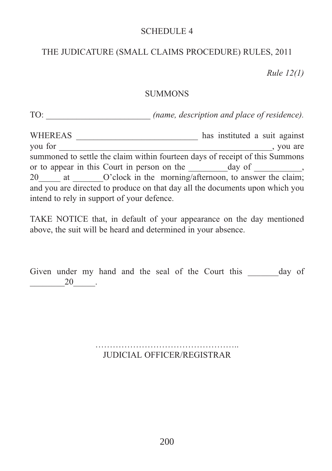## THE JUDICATURE (SMALL CLAIMS PROCEDURE) RULES, 2011

*Rule 12(1)*

#### **SUMMONS**

TO:  $(name, description and place of residence).$ 

WHEREAS \_\_\_\_\_\_\_\_\_\_\_\_\_\_\_\_\_\_\_\_\_\_\_\_\_\_\_\_ has instituted a suit against  $\frac{1}{\sqrt{2}}$ , you are summoned to settle the claim within fourteen days of receipt of this Summons or to appear in this Court in person on the day of  $\qquad \qquad$ , 20 at O'clock in the morning/afternoon, to answer the claim; and you are directed to produce on that day all the documents upon which you intend to rely in support of your defence.

TAKE NOTICE that, in default of your appearance on the day mentioned above, the suit will be heard and determined in your absence.

Given under my hand and the seal of the Court this day of  $20$  .

> ………………………………………….. JUDICIAL OFFICER/REGISTRAR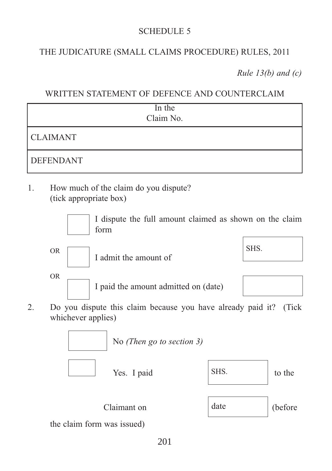# THE JUDICATURE (SMALL CLAIMS PROCEDURE) RULES, 2011

*Rule 13(b) and (c)*

## WRITTEN STATEMENT OF DEFENCE AND COUNTERCLAIM

| In the<br>Claim No. |
|---------------------|
| <b>CLAIMANT</b>     |
| <b>DEFENDANT</b>    |

1. How much of the claim do you dispute? (tick appropriate box)



I dispute the full amount claimed as shown on the claim form





SHS.

2. Do you dispute this claim because you have already paid it? (Tick whichever applies)



Claimant on  $\vert$  date  $\vert$  (before

date

the claim form was issued)

201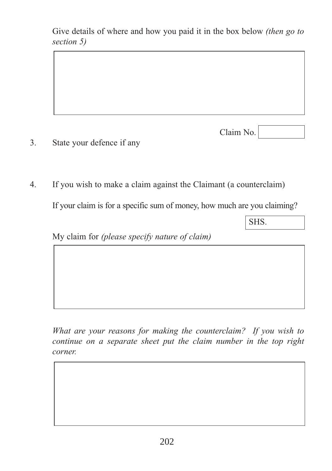Give details of where and how you paid it in the box below *(then go to section 5)*

Claim No.

- 3. State your defence if any
- 4. If you wish to make a claim against the Claimant (a counterclaim)

If your claim is for a specific sum of money, how much are you claiming?

SHS.

My claim for *(please specify nature of claim)*

*What are your reasons for making the counterclaim? If you wish to continue on a separate sheet put the claim number in the top right corner.*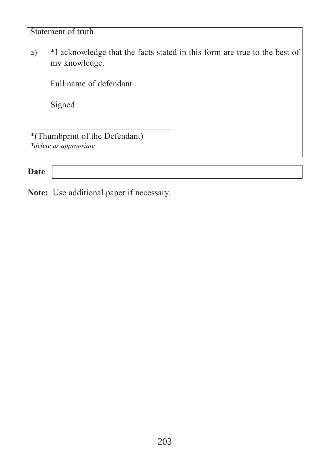|      | Statement of truth                                                                         |
|------|--------------------------------------------------------------------------------------------|
| a)   | *I acknowledge that the facts stated in this form are true to the best of<br>my knowledge. |
|      | Full name of defendant                                                                     |
|      | Signed                                                                                     |
|      | *(Thumbprint of the Defendant)<br>*delete as appropriate                                   |
|      |                                                                                            |
| Date |                                                                                            |

**Note:** Use additional paper if necessary.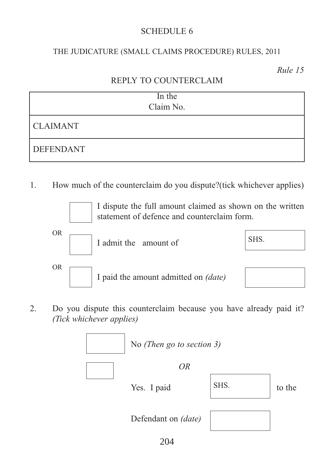#### THE JUDICATURE (SMALL CLAIMS PROCEDURE) RULES, 2011

*Rule 15*

## REPLY TO COUNTERCLAIM

| In the<br>Claim No. |
|---------------------|
| <b>CLAIMANT</b>     |
| <b>DEFENDANT</b>    |

1. How much of the counterclaim do you dispute?(tick whichever applies)

I dispute the full amount claimed as shown on the written statement of defence and counterclaim form.



2. Do you dispute this counterclaim because you have already paid it? *(Tick whichever applies)*

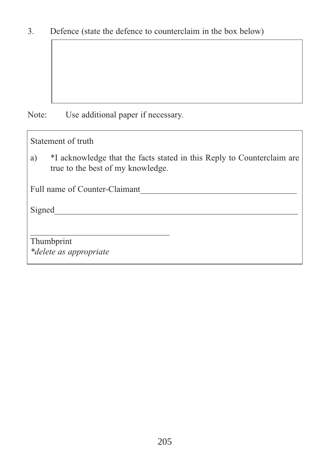3. Defence (state the defence to counterclaim in the box below)

Note: Use additional paper if necessary.

Statement of truth

a) \*I acknowledge that the facts stated in this Reply to Counterclaim are true to the best of my knowledge.

Full name of Counter-Claimant

\_\_\_\_\_\_\_\_\_\_\_\_\_\_\_\_\_\_\_\_\_\_\_\_\_\_\_\_\_\_\_\_

Signed\_\_\_\_\_\_\_\_\_\_\_\_\_\_\_\_\_\_\_\_\_\_\_\_\_\_\_\_\_\_\_\_\_\_\_\_\_\_\_\_\_\_\_\_\_\_\_\_\_\_\_\_\_\_\_\_

Thumbprint *\*delete as appropriate*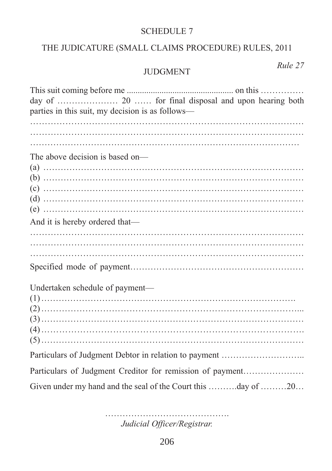# THE JUDICATURE (SMALL CLAIMS PROCEDURE) RULES, 2011

## JUDGMENT

*Rule 27*

| parties in this suit, my decision is as follows-             |
|--------------------------------------------------------------|
|                                                              |
|                                                              |
| The above decision is based on—                              |
|                                                              |
|                                                              |
|                                                              |
|                                                              |
| And it is hereby ordered that—                               |
|                                                              |
|                                                              |
|                                                              |
| Undertaken schedule of payment-                              |
|                                                              |
|                                                              |
|                                                              |
|                                                              |
|                                                              |
| Particulars of Judgment Creditor for remission of payment    |
| Given under my hand and the seal of the Court this day of 20 |

……………………………………. *Judicial Officer/Registrar.*

206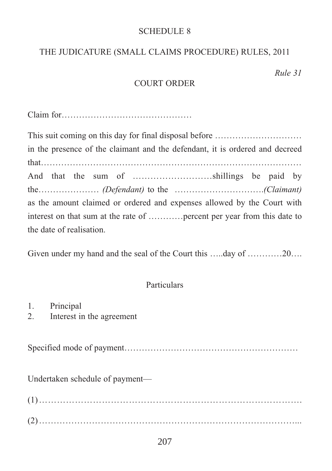# THE JUDICATURE (SMALL CLAIMS PROCEDURE) RULES, 2011

*Rule 31*

## COURT ORDER

Claim for………………………………………

This suit coming on this day for final disposal before …………………………………………………………………… in the presence of the claimant and the defendant, it is ordered and decreed that……………………………………………………………………………… And that the sum of ………………………shillings be paid by the………………… *(Defendant)* to the ………………………….*(Claimant)* as the amount claimed or ordered and expenses allowed by the Court with interest on that sum at the rate of …………percent per year from this date to the date of realisation.

Given under my hand and the seal of the Court this …..day of …………20….

## Particulars

- 1. Principal
- 2. Interest in the agreement

Specified mode of payment……………………………………………………

Undertaken schedule of payment—

(1)……………………………………………………………………………. (2)……………………………………………………………………………...